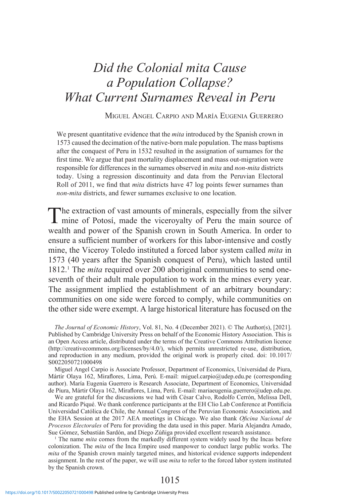# *Did the Colonial mita Cause a Population Collapse? What Current Surnames Reveal in Peru*

#### Miguel Angel Carpio and María Eugenia Guerrero

We present quantitative evidence that the *mita* introduced by the Spanish crown in 1573 caused the decimation of the native-born male population. The mass baptisms after the conquest of Peru in 1532 resulted in the assignation of surnames for the first time. We argue that past mortality displacement and mass out-migration were responsible for differences in the surnames observed in *mita* and *non-mita* districts today. Using a regression discontinuity and data from the Peruvian Electoral Roll of 2011, we find that *mita* districts have 47 log points fewer surnames than *non-mita* districts, and fewer surnames exclusive to one location.

The extraction of vast amounts of minerals, especially from the silver mine of Potosí, made the viceroyalty of Peru the main source of wealth and power of the Spanish crown in South America. In order to ensure a sufficient number of workers for this labor-intensive and costly mine, the Viceroy Toledo instituted a forced labor system called *mita* in 1573 (40 years after the Spanish conquest of Peru), which lasted until 1812.1 The *mita* required over 200 aboriginal communities to send oneseventh of their adult male population to work in the mines every year. The assignment implied the establishment of an arbitrary boundary: communities on one side were forced to comply, while communities on the other side were exempt. A large historical literature has focused on the

*The Journal of Economic History*, Vol. 81, No. 4 (December 2021). © The Author(s), [2021]. Published by Cambridge University Press on behalf of the Economic History Association. This is an Open Access article, distributed under the terms of the Creative Commons Attribution licence (http://creativecommons.org/licenses/by/4.0/), which permits unrestricted re-use, distribution, and reproduction in any medium, provided the original work is properly cited. doi: 10.1017/ S0022050721000498

Miguel Angel Carpio is Associate Professor, Department of Economics, Universidad de Piura, Mártir Olaya 162, Miraflores, Lima, Perú. E-mail: miguel.carpio@udep.edu.pe (corresponding author). María Eugenia Guerrero is Research Associate, Department of Economics, Universidad de Piura, Mártir Olaya 162, Miraflores, Lima, Perú. E-mail: mariaeugenia.guerrero@udep.edu.pe.

We are grateful for the discussions we had with César Calvo, Rodolfo Cerrón, Melissa Dell, and Ricardo Piqué. We thank conference participants at the EH Clio Lab Conference at Pontificia Universidad Católica de Chile, the Annual Congress of the Peruvian Economic Association, and the EHA Session at the 2017 AEA meetings in Chicago. We also thank *Oficina Nacional de Procesos Electorales* of Peru for providing the data used in this paper. María Alejandra Amado, Sue Gómez, Sebastián Sardón, and Diego Zúñiga provided excellent research assistance.

1 The name *mita* comes from the markedly different system widely used by the Incas before colonization. The *mita* of the Inca Empire used manpower to conduct large public works. The *mita* of the Spanish crown mainly targeted mines, and historical evidence supports independent assignment. In the rest of the paper, we will use *mita* to refer to the forced labor system instituted by the Spanish crown.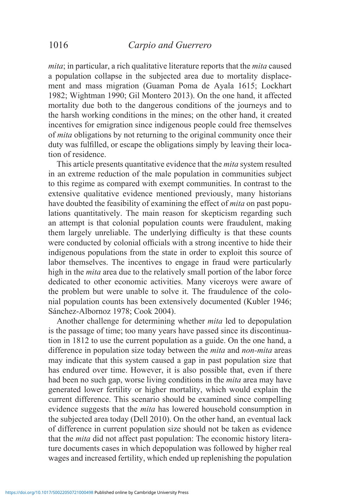*mita*; in particular, a rich qualitative literature reports that the *mita* caused a population collapse in the subjected area due to mortality displacement and mass migration (Guaman Poma de Ayala 1615; Lockhart 1982; Wightman 1990; Gil Montero 2013). On the one hand, it affected mortality due both to the dangerous conditions of the journeys and to the harsh working conditions in the mines; on the other hand, it created incentives for emigration since indigenous people could free themselves of *mita* obligations by not returning to the original community once their duty was fulfilled, or escape the obligations simply by leaving their location of residence.

This article presents quantitative evidence that the *mita* system resulted in an extreme reduction of the male population in communities subject to this regime as compared with exempt communities. In contrast to the extensive qualitative evidence mentioned previously, many historians have doubted the feasibility of examining the effect of *mita* on past populations quantitatively. The main reason for skepticism regarding such an attempt is that colonial population counts were fraudulent, making them largely unreliable. The underlying difficulty is that these counts were conducted by colonial officials with a strong incentive to hide their indigenous populations from the state in order to exploit this source of labor themselves. The incentives to engage in fraud were particularly high in the *mita* area due to the relatively small portion of the labor force dedicated to other economic activities. Many viceroys were aware of the problem but were unable to solve it. The fraudulence of the colonial population counts has been extensively documented (Kubler 1946; Sánchez-Albornoz 1978; Cook 2004).

Another challenge for determining whether *mita* led to depopulation is the passage of time; too many years have passed since its discontinuation in 1812 to use the current population as a guide. On the one hand, a difference in population size today between the *mita* and *non-mita* areas may indicate that this system caused a gap in past population size that has endured over time. However, it is also possible that, even if there had been no such gap, worse living conditions in the *mita* area may have generated lower fertility or higher mortality, which would explain the current difference. This scenario should be examined since compelling evidence suggests that the *mita* has lowered household consumption in the subjected area today (Dell 2010). On the other hand, an eventual lack of difference in current population size should not be taken as evidence that the *mita* did not affect past population: The economic history literature documents cases in which depopulation was followed by higher real wages and increased fertility, which ended up replenishing the population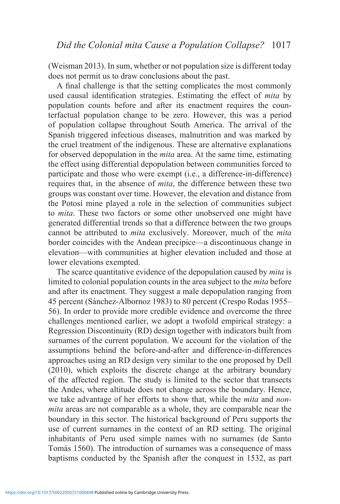(Weisman 2013). In sum, whether or not population size is different today does not permit us to draw conclusions about the past.

A final challenge is that the setting complicates the most commonly used causal identification strategies. Estimating the effect of *mita* by population counts before and after its enactment requires the counterfactual population change to be zero. However, this was a period of population collapse throughout South America. The arrival of the Spanish triggered infectious diseases, malnutrition and was marked by the cruel treatment of the indigenous. These are alternative explanations for observed depopulation in the *mita* area. At the same time, estimating the effect using differential depopulation between communities forced to participate and those who were exempt (i.e., a difference-in-difference) requires that, in the absence of *mita*, the difference between these two groups was constant over time. However, the elevation and distance from the Potosí mine played a role in the selection of communities subject to *mita*. These two factors or some other unobserved one might have generated differential trends so that a difference between the two groups cannot be attributed to *mita* exclusively. Moreover, much of the *mita*  border coincides with the Andean precipice—a discontinuous change in elevation—with communities at higher elevation included and those at lower elevations exempted.

The scarce quantitative evidence of the depopulation caused by *mita* is limited to colonial population counts in the area subject to the *mita* before and after its enactment. They suggest a male depopulation ranging from 45 percent (Sánchez-Albornoz 1983) to 80 percent (Crespo Rodas 1955– 56). In order to provide more credible evidence and overcome the three challenges mentioned earlier, we adopt a twofold empirical strategy: a Regression Discontinuity (RD) design together with indicators built from surnames of the current population. We account for the violation of the assumptions behind the before-and-after and difference-in-differences approaches using an RD design very similar to the one proposed by Dell (2010), which exploits the discrete change at the arbitrary boundary of the affected region. The study is limited to the sector that transects the Andes, where altitude does not change across the boundary. Hence, we take advantage of her efforts to show that, while the *mita* and *nonmita* areas are not comparable as a whole, they are comparable near the boundary in this sector. The historical background of Peru supports the use of current surnames in the context of an RD setting. The original inhabitants of Peru used simple names with no surnames (de Santo Tomás 1560). The introduction of surnames was a consequence of mass baptisms conducted by the Spanish after the conquest in 1532, as part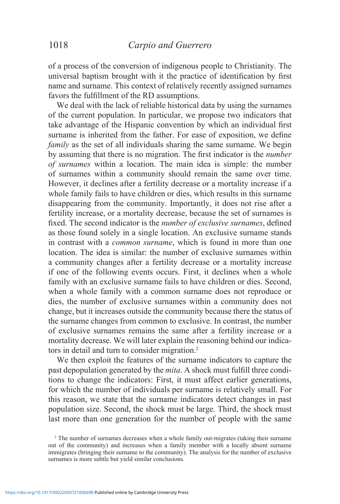of a process of the conversion of indigenous people to Christianity. The universal baptism brought with it the practice of identification by first name and surname. This context of relatively recently assigned surnames favors the fulfillment of the RD assumptions.

We deal with the lack of reliable historical data by using the surnames of the current population. In particular, we propose two indicators that take advantage of the Hispanic convention by which an individual first surname is inherited from the father. For ease of exposition, we define *family* as the set of all individuals sharing the same surname. We begin by assuming that there is no migration. The first indicator is the *number of surnames* within a location. The main idea is simple: the number of surnames within a community should remain the same over time. However, it declines after a fertility decrease or a mortality increase if a whole family fails to have children or dies, which results in this surname disappearing from the community. Importantly, it does not rise after a fertility increase, or a mortality decrease, because the set of surnames is fixed. The second indicator is the *number of exclusive surnames*, defined as those found solely in a single location. An exclusive surname stands in contrast with a *common surname*, which is found in more than one location. The idea is similar: the number of exclusive surnames within a community changes after a fertility decrease or a mortality increase if one of the following events occurs. First, it declines when a whole family with an exclusive surname fails to have children or dies. Second, when a whole family with a common surname does not reproduce or dies, the number of exclusive surnames within a community does not change, but it increases outside the community because there the status of the surname changes from common to exclusive. In contrast, the number of exclusive surnames remains the same after a fertility increase or a mortality decrease. We will later explain the reasoning behind our indicators in detail and turn to consider migration.<sup>2</sup>

We then exploit the features of the surname indicators to capture the past depopulation generated by the *mita*. A shock must fulfill three conditions to change the indicators: First, it must affect earlier generations, for which the number of individuals per surname is relatively small. For this reason, we state that the surname indicators detect changes in past population size. Second, the shock must be large. Third, the shock must last more than one generation for the number of people with the same

<sup>2</sup> The number of surnames decreases when a whole family out-migrates (taking their surname out of the community) and increases when a family member with a locally absent surname immigrates (bringing their surname to the community). The analysis for the number of exclusive surnames is more subtle but yield similar conclusions.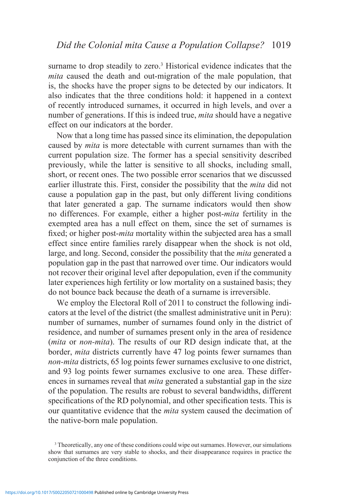surname to drop steadily to zero.<sup>3</sup> Historical evidence indicates that the *mita* caused the death and out-migration of the male population, that is, the shocks have the proper signs to be detected by our indicators. It also indicates that the three conditions hold: it happened in a context of recently introduced surnames, it occurred in high levels, and over a number of generations. If this is indeed true, *mita* should have a negative effect on our indicators at the border.

Now that a long time has passed since its elimination, the depopulation caused by *mita* is more detectable with current surnames than with the current population size. The former has a special sensitivity described previously, while the latter is sensitive to all shocks, including small, short, or recent ones. The two possible error scenarios that we discussed earlier illustrate this. First, consider the possibility that the *mita* did not cause a population gap in the past, but only different living conditions that later generated a gap. The surname indicators would then show no differences. For example, either a higher post-*mita* fertility in the exempted area has a null effect on them, since the set of surnames is fixed; or higher post-*mita* mortality within the subjected area has a small effect since entire families rarely disappear when the shock is not old, large, and long. Second, consider the possibility that the *mita* generated a population gap in the past that narrowed over time. Our indicators would not recover their original level after depopulation, even if the community later experiences high fertility or low mortality on a sustained basis; they do not bounce back because the death of a surname is irreversible.

We employ the Electoral Roll of 2011 to construct the following indicators at the level of the district (the smallest administrative unit in Peru): number of surnames, number of surnames found only in the district of residence, and number of surnames present only in the area of residence (*mita* or *non-mita*). The results of our RD design indicate that, at the border, *mita* districts currently have 47 log points fewer surnames than *non-mita* districts, 65 log points fewer surnames exclusive to one district, and 93 log points fewer surnames exclusive to one area. These differences in surnames reveal that *mita* generated a substantial gap in the size of the population. The results are robust to several bandwidths, different specifications of the RD polynomial, and other specification tests. This is our quantitative evidence that the *mita* system caused the decimation of the native-born male population.

<sup>&</sup>lt;sup>3</sup> Theoretically, any one of these conditions could wipe out surnames. However, our simulations show that surnames are very stable to shocks, and their disappearance requires in practice the conjunction of the three conditions.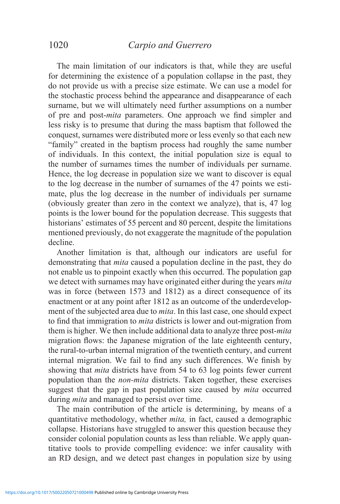The main limitation of our indicators is that, while they are useful for determining the existence of a population collapse in the past, they do not provide us with a precise size estimate. We can use a model for the stochastic process behind the appearance and disappearance of each surname, but we will ultimately need further assumptions on a number of pre and post-*mita* parameters. One approach we find simpler and less risky is to presume that during the mass baptism that followed the conquest, surnames were distributed more or less evenly so that each new "family" created in the baptism process had roughly the same number of individuals. In this context, the initial population size is equal to the number of surnames times the number of individuals per surname. Hence, the log decrease in population size we want to discover is equal to the log decrease in the number of surnames of the 47 points we estimate, plus the log decrease in the number of individuals per surname (obviously greater than zero in the context we analyze), that is, 47 log points is the lower bound for the population decrease. This suggests that historians' estimates of 55 percent and 80 percent, despite the limitations mentioned previously, do not exaggerate the magnitude of the population decline.

Another limitation is that, although our indicators are useful for demonstrating that *mita* caused a population decline in the past, they do not enable us to pinpoint exactly when this occurred. The population gap we detect with surnames may have originated either during the years *mita*  was in force (between 1573 and 1812) as a direct consequence of its enactment or at any point after 1812 as an outcome of the underdevelopment of the subjected area due to *mita*. In this last case, one should expect to find that immigration to *mita* districts is lower and out-migration from them is higher. We then include additional data to analyze three post-*mita*  migration flows: the Japanese migration of the late eighteenth century, the rural-to-urban internal migration of the twentieth century, and current internal migration. We fail to find any such differences. We finish by showing that *mita* districts have from 54 to 63 log points fewer current population than the *non-mita* districts. Taken together, these exercises suggest that the gap in past population size caused by *mita* occurred during *mita* and managed to persist over time.

The main contribution of the article is determining, by means of a quantitative methodology, whether *mita,* in fact, caused a demographic collapse. Historians have struggled to answer this question because they consider colonial population counts as less than reliable. We apply quantitative tools to provide compelling evidence: we infer causality with an RD design, and we detect past changes in population size by using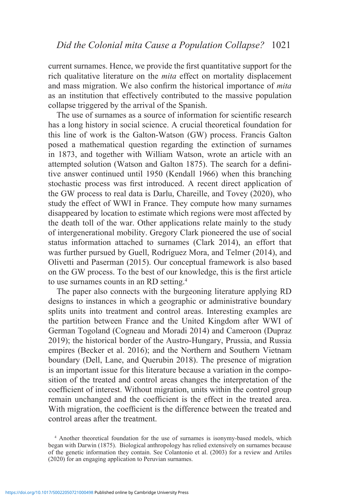current surnames. Hence, we provide the first quantitative support for the rich qualitative literature on the *mita* effect on mortality displacement and mass migration. We also confirm the historical importance of *mita*  as an institution that effectively contributed to the massive population collapse triggered by the arrival of the Spanish.

The use of surnames as a source of information for scientific research has a long history in social science. A crucial theoretical foundation for this line of work is the Galton-Watson (GW) process. Francis Galton posed a mathematical question regarding the extinction of surnames in 1873, and together with William Watson, wrote an article with an attempted solution (Watson and Galton 1875). The search for a definitive answer continued until 1950 (Kendall 1966) when this branching stochastic process was first introduced. A recent direct application of the GW process to real data is Darlu, Chareille, and Tovey (2020), who study the effect of WWI in France. They compute how many surnames disappeared by location to estimate which regions were most affected by the death toll of the war. Other applications relate mainly to the study of intergenerational mobility. Gregory Clark pioneered the use of social status information attached to surnames (Clark 2014), an effort that was further pursued by Guell, Rodríguez Mora, and Telmer (2014), and Olivetti and Paserman (2015). Our conceptual framework is also based on the GW process. To the best of our knowledge, this is the first article to use surnames counts in an RD setting.4

The paper also connects with the burgeoning literature applying RD designs to instances in which a geographic or administrative boundary splits units into treatment and control areas. Interesting examples are the partition between France and the United Kingdom after WWI of German Togoland (Cogneau and Moradi 2014) and Cameroon (Dupraz 2019); the historical border of the Austro-Hungary, Prussia, and Russia empires (Becker et al. 2016); and the Northern and Southern Vietnam boundary (Dell, Lane, and Querubin 2018). The presence of migration is an important issue for this literature because a variation in the composition of the treated and control areas changes the interpretation of the coefficient of interest. Without migration, units within the control group remain unchanged and the coefficient is the effect in the treated area. With migration, the coefficient is the difference between the treated and control areas after the treatment.

<sup>4</sup> Another theoretical foundation for the use of surnames is isonymy-based models, which began with Darwin (1875). Biological anthropology has relied extensively on surnames because of the genetic information they contain. See Colantonio et al. (2003) for a review and Artiles (2020) for an engaging application to Peruvian surnames.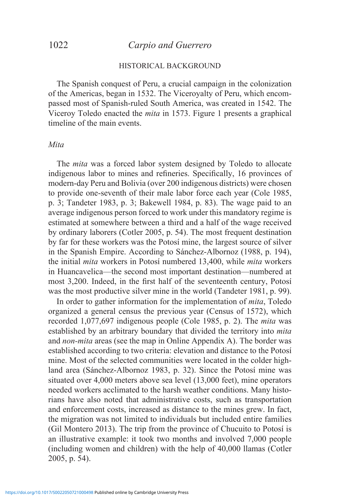### 1022 *Carpio and Guerrero*

#### HISTORICAL BACKGROUND

The Spanish conquest of Peru, a crucial campaign in the colonization of the Americas, began in 1532. The Viceroyalty of Peru, which encompassed most of Spanish-ruled South America, was created in 1542. The Viceroy Toledo enacted the *mita* in 1573. Figure 1 presents a graphical timeline of the main events.

#### *Mita*

The *mita* was a forced labor system designed by Toledo to allocate indigenous labor to mines and refineries. Specifically, 16 provinces of modern-day Peru and Bolivia (over 200 indigenous districts) were chosen to provide one-seventh of their male labor force each year (Cole 1985, p. 3; Tandeter 1983, p. 3; Bakewell 1984, p. 83). The wage paid to an average indigenous person forced to work under this mandatory regime is estimated at somewhere between a third and a half of the wage received by ordinary laborers (Cotler 2005, p. 54). The most frequent destination by far for these workers was the Potosí mine, the largest source of silver in the Spanish Empire. According to Sánchez-Albornoz (1988, p. 194), the initial *mita* workers in Potosí numbered 13,400, while *mita* workers in Huancavelica—the second most important destination—numbered at most 3,200. Indeed, in the first half of the seventeenth century, Potosí was the most productive silver mine in the world (Tandeter 1981, p. 99).

In order to gather information for the implementation of *mita*, Toledo organized a general census the previous year (Census of 1572), which recorded 1,077,697 indigenous people (Cole 1985, p. 2). The *mita* was established by an arbitrary boundary that divided the territory into *mita*  and *non-mita* areas (see the map in Online Appendix A). The border was established according to two criteria: elevation and distance to the Potosí mine. Most of the selected communities were located in the colder highland area (Sánchez-Albornoz 1983, p. 32). Since the Potosí mine was situated over 4,000 meters above sea level (13,000 feet), mine operators needed workers acclimated to the harsh weather conditions. Many historians have also noted that administrative costs, such as transportation and enforcement costs, increased as distance to the mines grew. In fact, the migration was not limited to individuals but included entire families (Gil Montero 2013). The trip from the province of Chucuito to Potosí is an illustrative example: it took two months and involved 7,000 people (including women and children) with the help of 40,000 llamas (Cotler 2005, p. 54).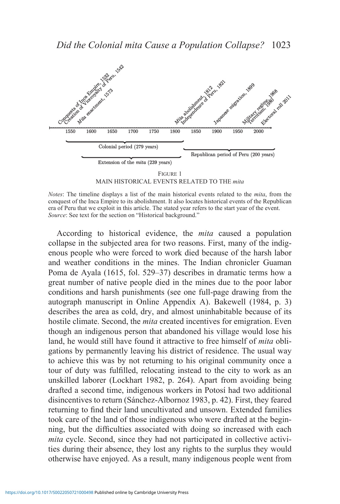

MAIN HISTORICAL EVENTS RELATED TO THE *mita*

According to historical evidence, the *mita* caused a population collapse in the subjected area for two reasons. First, many of the indigenous people who were forced to work died because of the harsh labor and weather conditions in the mines. The Indian chronicler Guaman Poma de Ayala (1615, fol. 529–37) describes in dramatic terms how a great number of native people died in the mines due to the poor labor conditions and harsh punishments (see one full-page drawing from the autograph manuscript in Online Appendix A). Bakewell (1984, p. 3) describes the area as cold, dry, and almost uninhabitable because of its hostile climate. Second, the *mita* created incentives for emigration. Even though an indigenous person that abandoned his village would lose his land, he would still have found it attractive to free himself of *mita* obligations by permanently leaving his district of residence. The usual way to achieve this was by not returning to his original community once a tour of duty was fulfilled, relocating instead to the city to work as an unskilled laborer (Lockhart 1982, p. 264). Apart from avoiding being drafted a second time, indigenous workers in Potosí had two additional disincentives to return (Sánchez-Albornoz 1983, p. 42). First, they feared returning to find their land uncultivated and unsown. Extended families took care of the land of those indigenous who were drafted at the beginning, but the difficulties associated with doing so increased with each *mita* cycle. Second, since they had not participated in collective activities during their absence, they lost any rights to the surplus they would otherwise have enjoyed. As a result, many indigenous people went from

*Notes*: The timeline displays a list of the main historical events related to the *mita*, from the conquest of the Inca Empire to its abolishment. It also locates historical events of the Republican era of Peru that we exploit in this article. The stated year refers to the start year of the event. *Source*: See text for the section on "Historical background."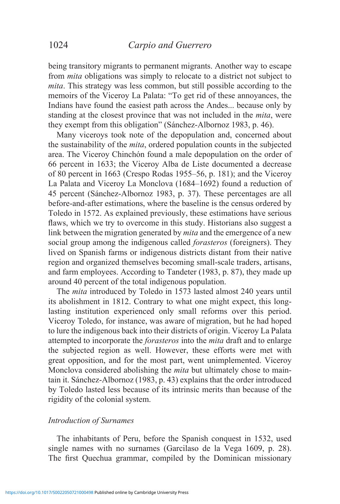being transitory migrants to permanent migrants. Another way to escape from *mita* obligations was simply to relocate to a district not subject to *mita*. This strategy was less common, but still possible according to the memoirs of the Viceroy La Palata: "To get rid of these annoyances, the Indians have found the easiest path across the Andes... because only by standing at the closest province that was not included in the *mita*, were they exempt from this obligation" (Sánchez-Albornoz 1983, p. 46).

Many viceroys took note of the depopulation and, concerned about the sustainability of the *mita*, ordered population counts in the subjected area. The Viceroy Chinchón found a male depopulation on the order of 66 percent in 1633; the Viceroy Alba de Liste documented a decrease of 80 percent in 1663 (Crespo Rodas 1955–56, p. 181); and the Viceroy La Palata and Viceroy La Monclova (1684–1692) found a reduction of 45 percent (Sánchez-Albornoz 1983, p. 37). These percentages are all before-and-after estimations, where the baseline is the census ordered by Toledo in 1572. As explained previously, these estimations have serious flaws, which we try to overcome in this study. Historians also suggest a link between the migration generated by *mita* and the emergence of a new social group among the indigenous called *forasteros* (foreigners). They lived on Spanish farms or indigenous districts distant from their native region and organized themselves becoming small-scale traders, artisans, and farm employees. According to Tandeter (1983, p. 87), they made up around 40 percent of the total indigenous population.

The *mita* introduced by Toledo in 1573 lasted almost 240 years until its abolishment in 1812. Contrary to what one might expect, this longlasting institution experienced only small reforms over this period. Viceroy Toledo, for instance, was aware of migration, but he had hoped to lure the indigenous back into their districts of origin. Viceroy La Palata attempted to incorporate the *forasteros* into the *mita* draft and to enlarge the subjected region as well. However, these efforts were met with great opposition, and for the most part, went unimplemented. Viceroy Monclova considered abolishing the *mita* but ultimately chose to maintain it. Sánchez-Albornoz (1983, p. 43) explains that the order introduced by Toledo lasted less because of its intrinsic merits than because of the rigidity of the colonial system.

#### *Introduction of Surnames*

The inhabitants of Peru, before the Spanish conquest in 1532, used single names with no surnames (Garcilaso de la Vega 1609, p. 28). The first Quechua grammar, compiled by the Dominican missionary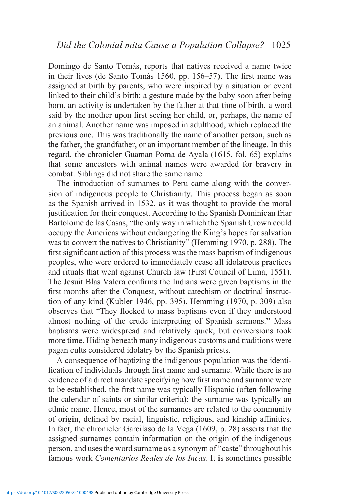Domingo de Santo Tomás, reports that natives received a name twice in their lives (de Santo Tomás 1560, pp. 156–57). The first name was assigned at birth by parents, who were inspired by a situation or event linked to their child's birth: a gesture made by the baby soon after being born, an activity is undertaken by the father at that time of birth, a word said by the mother upon first seeing her child, or, perhaps, the name of an animal. Another name was imposed in adulthood, which replaced the previous one. This was traditionally the name of another person, such as the father, the grandfather, or an important member of the lineage. In this regard, the chronicler Guaman Poma de Ayala (1615, fol. 65) explains that some ancestors with animal names were awarded for bravery in combat. Siblings did not share the same name.

The introduction of surnames to Peru came along with the conversion of indigenous people to Christianity. This process began as soon as the Spanish arrived in 1532, as it was thought to provide the moral justification for their conquest. According to the Spanish Dominican friar Bartolomé de las Casas, "the only way in which the Spanish Crown could occupy the Americas without endangering the King's hopes for salvation was to convert the natives to Christianity" (Hemming 1970, p. 288). The first significant action of this process was the mass baptism of indigenous peoples, who were ordered to immediately cease all idolatrous practices and rituals that went against Church law (First Council of Lima, 1551). The Jesuit Blas Valera confirms the Indians were given baptisms in the first months after the Conquest, without catechism or doctrinal instruction of any kind (Kubler 1946, pp. 395). Hemming (1970, p. 309) also observes that "They flocked to mass baptisms even if they understood almost nothing of the crude interpreting of Spanish sermons." Mass baptisms were widespread and relatively quick, but conversions took more time. Hiding beneath many indigenous customs and traditions were pagan cults considered idolatry by the Spanish priests.

A consequence of baptizing the indigenous population was the identification of individuals through first name and surname. While there is no evidence of a direct mandate specifying how first name and surname were to be established, the first name was typically Hispanic (often following the calendar of saints or similar criteria); the surname was typically an ethnic name. Hence, most of the surnames are related to the community of origin, defined by racial, linguistic, religious, and kinship affinities. In fact, the chronicler Garcilaso de la Vega (1609, p. 28) asserts that the assigned surnames contain information on the origin of the indigenous person, and uses the word surname as a synonym of "caste" throughout his famous work *Comentarios Reales de los Incas*. It is sometimes possible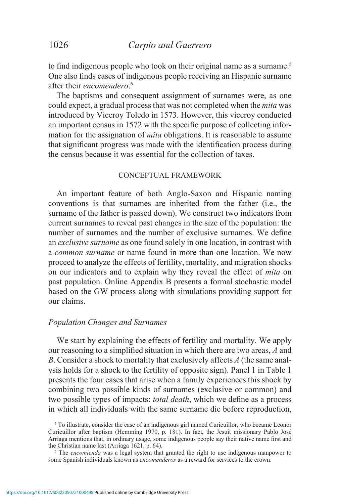to find indigenous people who took on their original name as a surname.<sup>5</sup> One also finds cases of indigenous people receiving an Hispanic surname after their *encomendero*. 6

The baptisms and consequent assignment of surnames were, as one could expect, a gradual process that was not completed when the *mita* was introduced by Viceroy Toledo in 1573. However, this viceroy conducted an important census in 1572 with the specific purpose of collecting information for the assignation of *mita* obligations. It is reasonable to assume that significant progress was made with the identification process during the census because it was essential for the collection of taxes.

#### CONCEPTUAL FRAMEWORK

An important feature of both Anglo-Saxon and Hispanic naming conventions is that surnames are inherited from the father (i.e., the surname of the father is passed down). We construct two indicators from current surnames to reveal past changes in the size of the population: the number of surnames and the number of exclusive surnames. We define an *exclusive surname* as one found solely in one location, in contrast with a *common surname* or name found in more than one location. We now proceed to analyze the effects of fertility, mortality, and migration shocks on our indicators and to explain why they reveal the effect of *mita* on past population. Online Appendix B presents a formal stochastic model based on the GW process along with simulations providing support for our claims.

#### *Population Changes and Surnames*

We start by explaining the effects of fertility and mortality. We apply our reasoning to a simplified situation in which there are two areas, *A* and *B*. Consider a shock to mortality that exclusively affects *A* (the same analysis holds for a shock to the fertility of opposite sign). Panel 1 in Table 1 presents the four cases that arise when a family experiences this shock by combining two possible kinds of surnames (exclusive or common) and two possible types of impacts: *total death*, which we define as a process in which all individuals with the same surname die before reproduction,

<sup>5</sup> To illustrate, consider the case of an indigenous girl named Curicuillor, who became Leonor Curicuillor after baptism (Hemming 1970, p. 181). In fact, the Jesuit missionary Pablo José Arriaga mentions that, in ordinary usage, some indigenous people say their native name first and the Christian name last (Arriaga 1621, p. 64).

<sup>6</sup> The *encomienda* was a legal system that granted the right to use indigenous manpower to some Spanish individuals known as *encomenderos* as a reward for services to the crown.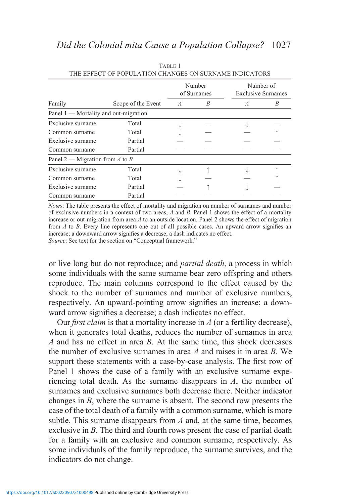|                                         |                    |                | Number<br>of Surnames | Number of<br><b>Exclusive Surnames</b> |   |
|-----------------------------------------|--------------------|----------------|-----------------------|----------------------------------------|---|
| Family                                  | Scope of the Event | $\overline{A}$ | B                     | $\mathcal{A}$                          | B |
| Panel $1$ — Mortality and out-migration |                    |                |                       |                                        |   |
| Exclusive surname                       | Total              |                |                       |                                        |   |
| Common surname                          | Total              |                |                       |                                        |   |
| Exclusive surname                       | Partial            |                |                       |                                        |   |
| Common surname                          | Partial            |                |                       |                                        |   |
| Panel 2 — Migration from $A$ to $B$     |                    |                |                       |                                        |   |
| Exclusive surname                       | Total              |                |                       |                                        |   |
| Common surname                          | Total              |                |                       |                                        |   |
| Exclusive surname                       | Partial            |                |                       |                                        |   |
| Common surname                          | Partial            |                |                       |                                        |   |

TABLE 1 THE EFFECT OF POPULATION CHANGES ON SURNAME INDICATORS

*Notes*: The table presents the effect of mortality and migration on number of surnames and number of exclusive numbers in a context of two areas, *A* and *B*. Panel 1 shows the effect of a mortality increase or out-migration from area *A* to an outside location. Panel 2 shows the effect of migration from *A* to *B*. Every line represents one out of all possible cases. An upward arrow signifies an increase; a downward arrow signifies a decrease; a dash indicates no effect.

*Source*: See text for the section on "Conceptual framework."

or live long but do not reproduce; and *partial death*, a process in which some individuals with the same surname bear zero offspring and others reproduce. The main columns correspond to the effect caused by the shock to the number of surnames and number of exclusive numbers, respectively. An upward-pointing arrow signifies an increase; a downward arrow signifies a decrease; a dash indicates no effect.

Our *first claim* is that a mortality increase in *A* (or a fertility decrease), when it generates total deaths, reduces the number of surnames in area *A* and has no effect in area *B*. At the same time, this shock decreases the number of exclusive surnames in area *A* and raises it in area *B*. We support these statements with a case-by-case analysis. The first row of Panel 1 shows the case of a family with an exclusive surname experiencing total death. As the surname disappears in *A*, the number of surnames and exclusive surnames both decrease there. Neither indicator changes in *B*, where the surname is absent. The second row presents the case of the total death of a family with a common surname, which is more subtle. This surname disappears from *A* and, at the same time, becomes exclusive in *B*. The third and fourth rows present the case of partial death for a family with an exclusive and common surname, respectively. As some individuals of the family reproduce, the surname survives, and the indicators do not change.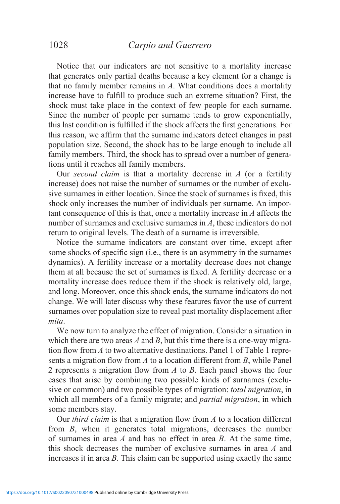Notice that our indicators are not sensitive to a mortality increase that generates only partial deaths because a key element for a change is that no family member remains in *A*. What conditions does a mortality increase have to fulfill to produce such an extreme situation? First, the shock must take place in the context of few people for each surname. Since the number of people per surname tends to grow exponentially, this last condition is fulfilled if the shock affects the first generations. For this reason, we affirm that the surname indicators detect changes in past population size. Second, the shock has to be large enough to include all family members. Third, the shock has to spread over a number of generations until it reaches all family members.

Our *second claim* is that a mortality decrease in *A* (or a fertility increase) does not raise the number of surnames or the number of exclusive surnames in either location. Since the stock of surnames is fixed, this shock only increases the number of individuals per surname. An important consequence of this is that, once a mortality increase in *A* affects the number of surnames and exclusive surnames in *A*, these indicators do not return to original levels. The death of a surname is irreversible.

Notice the surname indicators are constant over time, except after some shocks of specific sign (i.e., there is an asymmetry in the surnames dynamics). A fertility increase or a mortality decrease does not change them at all because the set of surnames is fixed. A fertility decrease or a mortality increase does reduce them if the shock is relatively old, large, and long. Moreover, once this shock ends, the surname indicators do not change. We will later discuss why these features favor the use of current surnames over population size to reveal past mortality displacement after *mita*.

We now turn to analyze the effect of migration. Consider a situation in which there are two areas *A* and *B*, but this time there is a one-way migration flow from *A* to two alternative destinations. Panel 1 of Table 1 represents a migration flow from *A* to a location different from *B*, while Panel 2 represents a migration flow from *A* to *B*. Each panel shows the four cases that arise by combining two possible kinds of surnames (exclusive or common) and two possible types of migration: *total migration*, in which all members of a family migrate; and *partial migration*, in which some members stay.

Our *third claim* is that a migration flow from *A* to a location different from *B*, when it generates total migrations, decreases the number of surnames in area *A* and has no effect in area *B*. At the same time, this shock decreases the number of exclusive surnames in area *A* and increases it in area *B*. This claim can be supported using exactly the same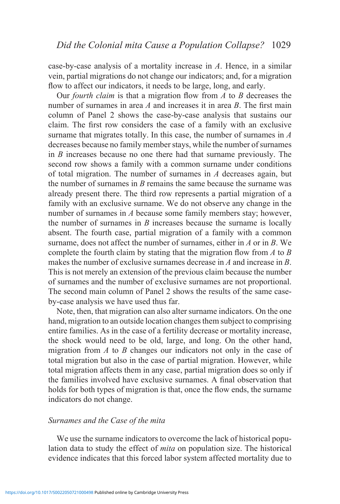case-by-case analysis of a mortality increase in *A*. Hence, in a similar vein, partial migrations do not change our indicators; and, for a migration flow to affect our indicators, it needs to be large, long, and early.

Our *fourth claim* is that a migration flow from *A* to *B* decreases the number of surnames in area *A* and increases it in area *B*. The first main column of Panel 2 shows the case-by-case analysis that sustains our claim. The first row considers the case of a family with an exclusive surname that migrates totally. In this case, the number of surnames in *A*  decreases because no family member stays, while the number of surnames in *B* increases because no one there had that surname previously. The second row shows a family with a common surname under conditions of total migration. The number of surnames in *A* decreases again, but the number of surnames in *B* remains the same because the surname was already present there. The third row represents a partial migration of a family with an exclusive surname. We do not observe any change in the number of surnames in *A* because some family members stay; however, the number of surnames in *B* increases because the surname is locally absent. The fourth case, partial migration of a family with a common surname, does not affect the number of surnames, either in *A* or in *B*. We complete the fourth claim by stating that the migration flow from *A* to *B*  makes the number of exclusive surnames decrease in *A* and increase in *B*. This is not merely an extension of the previous claim because the number of surnames and the number of exclusive surnames are not proportional. The second main column of Panel 2 shows the results of the same caseby-case analysis we have used thus far.

Note, then, that migration can also alter surname indicators. On the one hand, migration to an outside location changes them subject to comprising entire families. As in the case of a fertility decrease or mortality increase, the shock would need to be old, large, and long. On the other hand, migration from *A* to *B* changes our indicators not only in the case of total migration but also in the case of partial migration. However, while total migration affects them in any case, partial migration does so only if the families involved have exclusive surnames. A final observation that holds for both types of migration is that, once the flow ends, the surname indicators do not change.

#### *Surnames and the Case of the mita*

We use the surname indicators to overcome the lack of historical population data to study the effect of *mita* on population size. The historical evidence indicates that this forced labor system affected mortality due to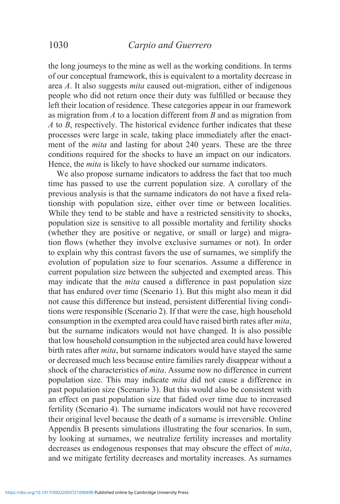the long journeys to the mine as well as the working conditions. In terms of our conceptual framework, this is equivalent to a mortality decrease in area *A*. It also suggests *mita* caused out-migration, either of indigenous people who did not return once their duty was fulfilled or because they left their location of residence. These categories appear in our framework as migration from *A* to a location different from *B* and as migration from *A* to *B*, respectively. The historical evidence further indicates that these processes were large in scale, taking place immediately after the enactment of the *mita* and lasting for about 240 years. These are the three conditions required for the shocks to have an impact on our indicators. Hence, the *mita* is likely to have shocked our surname indicators.

We also propose surname indicators to address the fact that too much time has passed to use the current population size. A corollary of the previous analysis is that the surname indicators do not have a fixed relationship with population size, either over time or between localities. While they tend to be stable and have a restricted sensitivity to shocks, population size is sensitive to all possible mortality and fertility shocks (whether they are positive or negative, or small or large) and migration flows (whether they involve exclusive surnames or not). In order to explain why this contrast favors the use of surnames, we simplify the evolution of population size to four scenarios. Assume a difference in current population size between the subjected and exempted areas. This may indicate that the *mita* caused a difference in past population size that has endured over time (Scenario 1). But this might also mean it did not cause this difference but instead, persistent differential living conditions were responsible (Scenario 2). If that were the case, high household consumption in the exempted area could have raised birth rates after *mita*, but the surname indicators would not have changed. It is also possible that low household consumption in the subjected area could have lowered birth rates after *mita*, but surname indicators would have stayed the same or decreased much less because entire families rarely disappear without a shock of the characteristics of *mita*. Assume now no difference in current population size. This may indicate *mita* did not cause a difference in past population size (Scenario 3). But this would also be consistent with an effect on past population size that faded over time due to increased fertility (Scenario 4). The surname indicators would not have recovered their original level because the death of a surname is irreversible. Online Appendix B presents simulations illustrating the four scenarios. In sum, by looking at surnames, we neutralize fertility increases and mortality decreases as endogenous responses that may obscure the effect of *mita*, and we mitigate fertility decreases and mortality increases. As surnames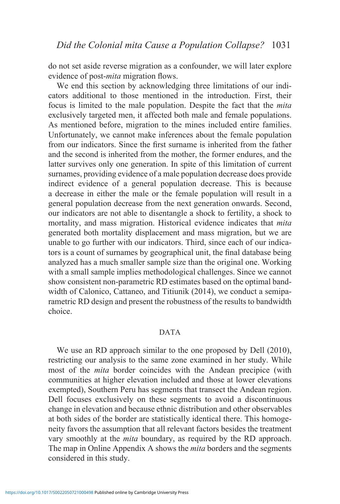do not set aside reverse migration as a confounder, we will later explore evidence of post-*mita* migration flows.

We end this section by acknowledging three limitations of our indicators additional to those mentioned in the introduction. First, their focus is limited to the male population. Despite the fact that the *mita*  exclusively targeted men, it affected both male and female populations. As mentioned before, migration to the mines included entire families. Unfortunately, we cannot make inferences about the female population from our indicators. Since the first surname is inherited from the father and the second is inherited from the mother, the former endures, and the latter survives only one generation. In spite of this limitation of current surnames, providing evidence of a male population decrease does provide indirect evidence of a general population decrease. This is because a decrease in either the male or the female population will result in a general population decrease from the next generation onwards. Second, our indicators are not able to disentangle a shock to fertility, a shock to mortality, and mass migration. Historical evidence indicates that *mita*  generated both mortality displacement and mass migration, but we are unable to go further with our indicators. Third, since each of our indicators is a count of surnames by geographical unit, the final database being analyzed has a much smaller sample size than the original one. Working with a small sample implies methodological challenges. Since we cannot show consistent non-parametric RD estimates based on the optimal bandwidth of Calonico, Cattaneo, and Titiunik (2014), we conduct a semiparametric RD design and present the robustness of the results to bandwidth choice.

#### DATA

We use an RD approach similar to the one proposed by Dell (2010), restricting our analysis to the same zone examined in her study. While most of the *mita* border coincides with the Andean precipice (with communities at higher elevation included and those at lower elevations exempted), Southern Peru has segments that transect the Andean region. Dell focuses exclusively on these segments to avoid a discontinuous change in elevation and because ethnic distribution and other observables at both sides of the border are statistically identical there. This homogeneity favors the assumption that all relevant factors besides the treatment vary smoothly at the *mita* boundary, as required by the RD approach. The map in Online Appendix A shows the *mita* borders and the segments considered in this study.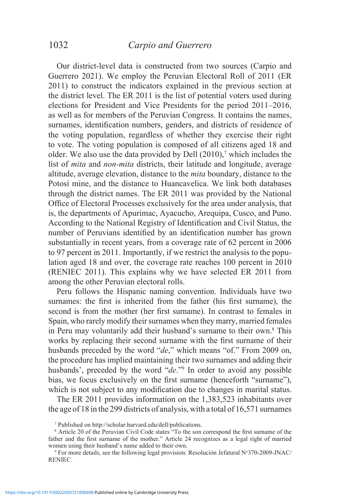Our district-level data is constructed from two sources (Carpio and Guerrero 2021). We employ the Peruvian Electoral Roll of 2011 (ER 2011) to construct the indicators explained in the previous section at the district level. The ER 2011 is the list of potential voters used during elections for President and Vice Presidents for the period 2011–2016, as well as for members of the Peruvian Congress. It contains the names, surnames, identification numbers, genders, and districts of residence of the voting population, regardless of whether they exercise their right to vote. The voting population is composed of all citizens aged 18 and older. We also use the data provided by Dell (2010),<sup>7</sup> which includes the list of *mita* and *non-mita* districts, their latitude and longitude, average altitude, average elevation, distance to the *mita* boundary, distance to the Potosí mine, and the distance to Huancavelica. We link both databases through the district names. The ER 2011 was provided by the National Office of Electoral Processes exclusively for the area under analysis, that is, the departments of Apurimac, Ayacucho, Arequipa, Cusco, and Puno. According to the National Registry of Identification and Civil Status, the number of Peruvians identified by an identification number has grown substantially in recent years, from a coverage rate of 62 percent in 2006 to 97 percent in 2011. Importantly, if we restrict the analysis to the population aged 18 and over, the coverage rate reaches 100 percent in 2010 (RENIEC 2011). This explains why we have selected ER 2011 from among the other Peruvian electoral rolls.

Peru follows the Hispanic naming convention. Individuals have two surnames: the first is inherited from the father (his first surname), the second is from the mother (her first surname). In contrast to females in Spain, who rarely modify their surnames when they marry, married females in Peru may voluntarily add their husband's surname to their own.8 This works by replacing their second surname with the first surname of their husbands preceded by the word "*de*," which means "of." From 2009 on, the procedure has implied maintaining their two surnames and adding their husbands', preceded by the word "*de*."9 In order to avoid any possible bias, we focus exclusively on the first surname (henceforth "surname"), which is not subject to any modification due to changes in marital status.

The ER 2011 provides information on the 1,383,523 inhabitants over the age of 18 in the 299 districts of analysis, with a total of 16,571 surnames

<sup>7</sup> Published on http://scholar.harvard.edu/dell/publications.

<sup>8</sup> Article 20 of the Peruvian Civil Code states "To the son correspond the first surname of the father and the first surname of the mother." Article 24 recognizes as a legal right of married women using their husband's name added to their own.

<sup>9</sup> For more details, see the following legal provision: Resolución Jefatural N*<sup>o</sup>* 370-2009-JNAC/ RENIEC.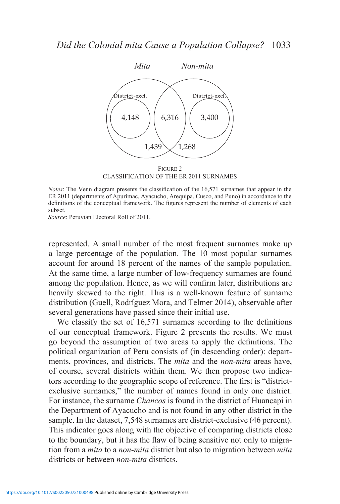

CLASSIFICATION OF THE ER 2011 SURNAMES

*Notes*: The Venn diagram presents the classification of the 16,571 surnames that appear in the ER 2011 (departments of Apurímac, Ayacucho, Arequipa, Cusco, and Puno) in accordance to the definitions of the conceptual framework. The figures represent the number of elements of each subset.

*Source*: Peruvian Electoral Roll of 2011.

represented. A small number of the most frequent surnames make up a large percentage of the population. The 10 most popular surnames account for around 18 percent of the names of the sample population. At the same time, a large number of low-frequency surnames are found among the population. Hence, as we will confirm later, distributions are heavily skewed to the right. This is a well-known feature of surname distribution (Guell, Rodríguez Mora, and Telmer 2014), observable after several generations have passed since their initial use.

We classify the set of 16,571 surnames according to the definitions of our conceptual framework. Figure 2 presents the results. We must go beyond the assumption of two areas to apply the definitions. The political organization of Peru consists of (in descending order): departments, provinces, and districts. The *mita* and the *non-mita* areas have, of course, several districts within them. We then propose two indicators according to the geographic scope of reference. The first is "districtexclusive surnames," the number of names found in only one district. For instance, the surname *Chancos* is found in the district of Huancapi in the Department of Ayacucho and is not found in any other district in the sample. In the dataset, 7,548 surnames are district-exclusive (46 percent). This indicator goes along with the objective of comparing districts close to the boundary, but it has the flaw of being sensitive not only to migration from a *mita* to a *non-mita* district but also to migration between *mita*  districts or between *non-mita* districts.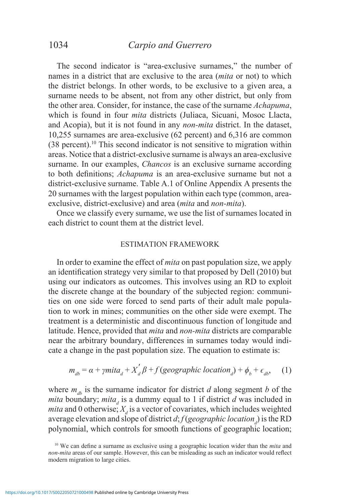# 1034 *Carpio and Guerrero*

The second indicator is "area-exclusive surnames," the number of names in a district that are exclusive to the area (*mita* or not) to which the district belongs. In other words, to be exclusive to a given area, a surname needs to be absent, not from any other district, but only from the other area. Consider, for instance, the case of the surname *Achapuma*, which is found in four *mita* districts (Juliaca, Sicuani, Mosoc Llacta, and Acopia), but it is not found in any *non-mita* district. In the dataset, 10,255 surnames are area-exclusive (62 percent) and 6,316 are common  $(38$  percent).<sup>10</sup> This second indicator is not sensitive to migration within areas. Notice that a district-exclusive surname is always an area-exclusive surname. In our examples, *Chancos* is an exclusive surname according to both definitions; *Achapuma* is an area-exclusive surname but not a district-exclusive surname. Table A.1 of Online Appendix A presents the 20 surnames with the largest population within each type (common, areaexclusive, district-exclusive) and area (*mita* and *non-mita*).

Once we classify every surname, we use the list of surnames located in each district to count them at the district level.

#### ESTIMATION FRAMEWORK

In order to examine the effect of *mita* on past population size, we apply an identification strategy very similar to that proposed by Dell (2010) but using our indicators as outcomes. This involves using an RD to exploit the discrete change at the boundary of the subjected region: communities on one side were forced to send parts of their adult male population to work in mines; communities on the other side were exempt. The treatment is a deterministic and discontinuous function of longitude and latitude. Hence, provided that *mita* and *non-mita* districts are comparable near the arbitrary boundary, differences in surnames today would indicate a change in the past population size. The equation to estimate is:

$$
m_{db} = \alpha + \gamma mit a_d + X'_d \beta + f(geographic location_d) + \phi_b + \epsilon_{db}, \quad (1)
$$

where  $m_{d\theta}$  is the surname indicator for district *d* along segment *b* of the *mita* boundary; *mita<sub>d</sub>* is a dummy equal to 1 if district *d* was included in *mita* and 0 otherwise;  $X_d$  is a vector of covariates, which includes weighted average elevation and slope of district *d*; *f* (*geographic location*<sub>*d*</sub>) is the RD polynomial, which controls for smooth functions of geographic location;

<sup>10</sup> We can define a surname as exclusive using a geographic location wider than the *mita* and *non-mita* areas of our sample. However, this can be misleading as such an indicator would reflect modern migration to large cities.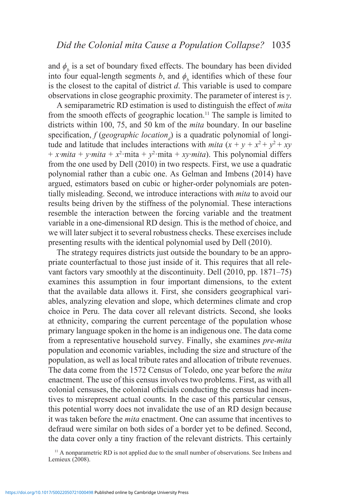and  $\phi$ <sup>*b*</sup> is a set of boundary fixed effects. The boundary has been divided into four equal-length segments *b*, and  $\phi$ <sup>*b*</sup> identifies which of these four is the closest to the capital of district *d*. This variable is used to compare observations in close geographic proximity. The parameter of interest is *γ*.

A semiparametric RD estimation is used to distinguish the effect of *mita*  from the smooth effects of geographic location.11 The sample is limited to districts within 100, 75, and 50 km of the *mita* boundary. In our baseline specification,  $f$  (*geographic location*<sub>*d*</sub>) is a quadratic polynomial of longitude and latitude that includes interactions with *mita*  $(x + y + x^2 + y^2 + xy)$ + *x* mita + *y* mita +  $x^2$  mita +  $y^2$  mita + *xy* mita). This polynomial differs from the one used by Dell (2010) in two respects. First, we use a quadratic polynomial rather than a cubic one. As Gelman and Imbens (2014) have argued, estimators based on cubic or higher-order polynomials are potentially misleading. Second, we introduce interactions with *mita* to avoid our results being driven by the stiffness of the polynomial. These interactions resemble the interaction between the forcing variable and the treatment variable in a one-dimensional RD design. This is the method of choice, and we will later subject it to several robustness checks. These exercises include presenting results with the identical polynomial used by Dell (2010).

The strategy requires districts just outside the boundary to be an appropriate counterfactual to those just inside of it. This requires that all relevant factors vary smoothly at the discontinuity. Dell (2010, pp. 1871–75) examines this assumption in four important dimensions, to the extent that the available data allows it. First, she considers geographical variables, analyzing elevation and slope, which determines climate and crop choice in Peru. The data cover all relevant districts. Second, she looks at ethnicity, comparing the current percentage of the population whose primary language spoken in the home is an indigenous one. The data come from a representative household survey. Finally, she examines *pre-mita*  population and economic variables, including the size and structure of the population, as well as local tribute rates and allocation of tribute revenues. The data come from the 1572 Census of Toledo, one year before the *mita*  enactment. The use of this census involves two problems. First, as with all colonial censuses, the colonial officials conducting the census had incentives to misrepresent actual counts. In the case of this particular census, this potential worry does not invalidate the use of an RD design because it was taken before the *mita* enactment. One can assume that incentives to defraud were similar on both sides of a border yet to be defined. Second, the data cover only a tiny fraction of the relevant districts. This certainly

<sup>11</sup> A nonparametric RD is not applied due to the small number of observations. See Imbens and Lemieux  $(2008)$ .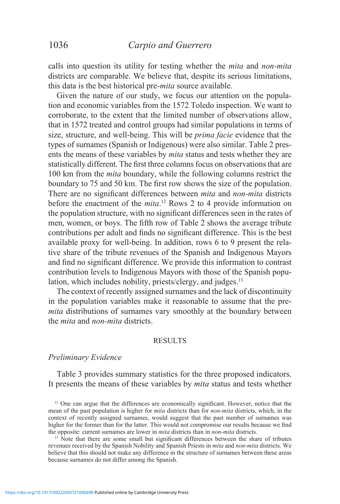calls into question its utility for testing whether the *mita* and *non-mita*  districts are comparable. We believe that, despite its serious limitations, this data is the best historical pre-*mita* source available.

Given the nature of our study, we focus our attention on the population and economic variables from the 1572 Toledo inspection. We want to corroborate, to the extent that the limited number of observations allow, that in 1572 treated and control groups had similar populations in terms of size, structure, and well-being. This will be *prima facie* evidence that the types of surnames (Spanish or Indigenous) were also similar. Table 2 presents the means of these variables by *mita* status and tests whether they are statistically different. The first three columns focus on observations that are 100 km from the *mita* boundary, while the following columns restrict the boundary to 75 and 50 km. The first row shows the size of the population. There are no significant differences between *mita* and *non-mita* districts before the enactment of the *mita*. <sup>12</sup> Rows 2 to 4 provide information on the population structure, with no significant differences seen in the rates of men, women, or boys. The fifth row of Table 2 shows the average tribute contributions per adult and finds no significant difference. This is the best available proxy for well-being. In addition, rows 6 to 9 present the relative share of the tribute revenues of the Spanish and Indigenous Mayors and find no significant difference. We provide this information to contrast contribution levels to Indigenous Mayors with those of the Spanish population, which includes nobility, priests/clergy, and judges.<sup>13</sup>

The context of recently assigned surnames and the lack of discontinuity in the population variables make it reasonable to assume that the pre*mita* distributions of surnames vary smoothly at the boundary between the *mita* and *non-mita* districts.

#### RESULTS

#### *Preliminary Evidence*

Table 3 provides summary statistics for the three proposed indicators. It presents the means of these variables by *mita* status and tests whether

<sup>&</sup>lt;sup>12</sup> One can argue that the differences are economically significant. However, notice that the mean of the past population is higher for *mita* districts than for *non-mita* districts, which, in the context of recently assigned surnames, would suggest that the past number of surnames was higher for the former than for the latter. This would not compromise our results because we find the opposite: current surnames are lower in *mita* districts than in *non-mita* districts.

<sup>&</sup>lt;sup>13</sup> Note that there are some small but significant differences between the share of tributes revenues received by the Spanish Nobility and Spanish Priests in *mita* and *non-mita* districts. We believe that this should not make any difference in the structure of surnames between these areas because surnames do not differ among the Spanish.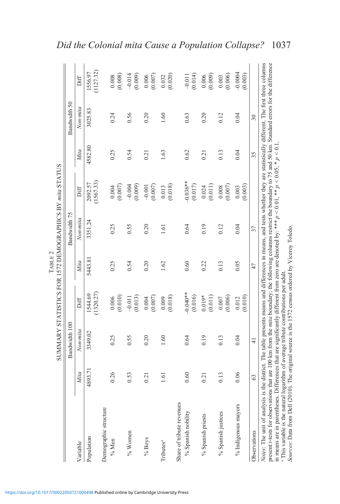|                           |                         | Bandwidth 100 |                       |        | Bandwidth 75 |                       |         | Bandwidth 50 |                       |
|---------------------------|-------------------------|---------------|-----------------------|--------|--------------|-----------------------|---------|--------------|-----------------------|
| Variable                  | Mita                    | Non-mita      | Diff                  | Mita   | Non-mita     | Diff                  | Mita    | Non-mita     | Diff                  |
| Population                | $\overline{7}$<br>4893. | 3349.02       | (1320.27)<br>1544.69  | 5443.8 | 3351.24      | (1567.33)<br>2092.57  | 4582.80 | 3025.83      | (1127.32)<br>1556.97  |
| Demographic structure     |                         |               |                       |        |              |                       |         |              |                       |
| $%$ Men                   | 0.26                    | 0.25          | (0.010)<br>0.006      | 0.25   | 0.25         | $(0.004$<br>$(0.007)$ | 0.25    | 0.24         | (0.008)<br>$0.008\,$  |
| % Women                   | 0.53                    | 0.55          | (0.013)<br>$-0.011$   | 0.54   | 0.55         | (0.009)<br>$-0.004$   | 0.54    | 0.56         | $-0.014$<br>(0.009)   |
| $\%$ Boys                 | 0.21                    | 0.20          | $(0.004$<br>$(0.007)$ | 0.20   | 0.20         | (0.007)<br>$-0.001$   | 0.21    | 0.20         | $(0.006$<br>$(0.007)$ |
| Tributes <sup>a</sup>     | $-1.6$                  | 1.60          | (0.018)<br>0.009      | 1.62   | 1.61         | (0.018)<br>0.013      | 1.63    | 1.60         | (0.020)<br>0.032      |
| Share of tribute revenues |                         |               |                       |        |              |                       |         |              |                       |
| % Spanish nobility        | 0.60                    | 0.64          | $-0.040**$<br>(0.016) | 0.60   | 0.64         | $-0.036**$<br>(0.017) | 0.62    | 0.63         | (0.014)<br>$-0.011$   |
| % Spanish priests         | 0.21                    | 0.19          | $0.019*$<br>(0.011)   | 0.22   | 0.19         | (0.011)<br>0.024      | 0.21    | 0.20         | (0.009)<br>0.006      |
| % Spanish justices        | $\overline{0}$ .        | 0.13          | (0.006)<br>0.007      | 0.13   | 0.12         | (0.007)<br>0.008      | 0.13    | 0.12         | (0.006)<br>0.003      |
| % Indigenous mayors       | 0.06                    | 0.04          | (0.010)<br>0.012      | 0.05   | 0.04         | (0.003)<br>0.003      | 0.04    | 0.04         | $-0.0004$<br>(0.003)  |
| Observations              | 63                      | $\frac{1}{4}$ |                       | 47     | 37           |                       | 35      | 30           |                       |

in means are in parentheses. Differences that are significantly different from zero are denoted by: \*\*\* *p <* 0*.*01, \*\* *p <* 0*.*05, \* *p <* 0*.*1. *a*

This variable is the natural logarithm of average tribute contributions per adult.

*Sources*: Data from Dell (2010). The original source is the 1572 census ordered by Viceroy Toledo.

"This variable is the natural logarithm of average tribute contributions per adult.<br>Sources: Data from Dell (2010). The original source is the 1572 census ordered by Viceroy Toledo.

# *Did the Colonial mita Cause a Population Collapse?* 1037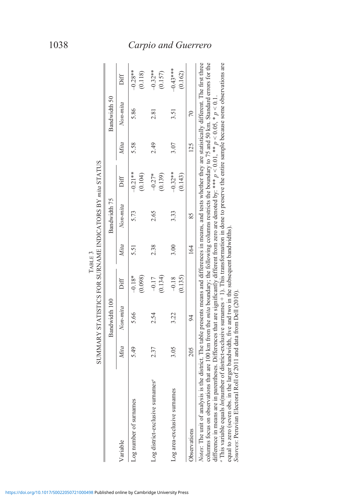|                                                                                                                                                                                                                                                                                                                                                                                                                                                                                                                                                                                                                                                                                                                                                                                                                                                             |      | SUMMARY STATISTICS FOR SURNAME INDICATORS BY mita STATUS |                     |      |              |                      |      |              |                       |
|-------------------------------------------------------------------------------------------------------------------------------------------------------------------------------------------------------------------------------------------------------------------------------------------------------------------------------------------------------------------------------------------------------------------------------------------------------------------------------------------------------------------------------------------------------------------------------------------------------------------------------------------------------------------------------------------------------------------------------------------------------------------------------------------------------------------------------------------------------------|------|----------------------------------------------------------|---------------------|------|--------------|----------------------|------|--------------|-----------------------|
|                                                                                                                                                                                                                                                                                                                                                                                                                                                                                                                                                                                                                                                                                                                                                                                                                                                             |      | Bandwidth 100                                            |                     |      | Bandwidth 75 |                      |      | Bandwidth 50 |                       |
| Variable                                                                                                                                                                                                                                                                                                                                                                                                                                                                                                                                                                                                                                                                                                                                                                                                                                                    | Mita | Non-mita                                                 | Diff                | Mita | $Non-mita$   | Diff                 | Mita | Non-mita     | Diff                  |
| Log number of surnames                                                                                                                                                                                                                                                                                                                                                                                                                                                                                                                                                                                                                                                                                                                                                                                                                                      | 5.49 | 5.66                                                     | $-0.18*$<br>(0.098) | 5.51 | 5.73         | $-0.21**$<br>(0.104) | 5.58 | 5.86         | $-0.28**$<br>(0.118)  |
| Log district-exclusive surnames <sup>a</sup>                                                                                                                                                                                                                                                                                                                                                                                                                                                                                                                                                                                                                                                                                                                                                                                                                | 2.37 | 2.54                                                     | (0.134)<br>$-0.17$  | 2.38 | 2.65         | $-0.27*$<br>(0.139)  | 2.49 | 2.81         | $-0.32**$<br>(0.157)  |
| Log area-exclusive surnames                                                                                                                                                                                                                                                                                                                                                                                                                                                                                                                                                                                                                                                                                                                                                                                                                                 | 3.05 | 3.22                                                     | (0.135)<br>$-0.18$  | 3.00 | 3.33         | $-0.32**$<br>(0.143) | 3.07 | 3.51         | $-0.43***$<br>(0.162) |
| Observations                                                                                                                                                                                                                                                                                                                                                                                                                                                                                                                                                                                                                                                                                                                                                                                                                                                | 205  | $\approx$                                                |                     | 164  | 85           |                      | 125  | 70           |                       |
| columns focus on observations that are 100 km from the <i>mita</i> boundary; the following columns restricts the boundary to 75 and 50 km. Standard errors for the<br>"This variable equals <i>In</i> (number of district-exclusive surnames + 1). This transformation in done to preserve the entire sample because some observations are<br>Notes: The unit of analysis is the district. The table presents means and differences in means, and tests whether they are statistically different. The first three<br>difference in means are in parentheses. Differences that are significantly different from zero are denoted by: *** $p < 0.01$ , ** $p < 0.05$ , * $p < 0.1$ .<br>equal to zero (seven obs. in the larger bandwidth, five and two in the subsequent bandwidths).<br>Sources: Peruvian Electoral Roll of 2011 and data from Dell (2010). |      |                                                          |                     |      |              |                      |      |              |                       |

|            |                                                  | l             |
|------------|--------------------------------------------------|---------------|
| $T$ ABLE 3 | STATISTICS FOR SURNAME INDICATORS BY mita STATUS | $\frac{1}{2}$ |
|            |                                                  |               |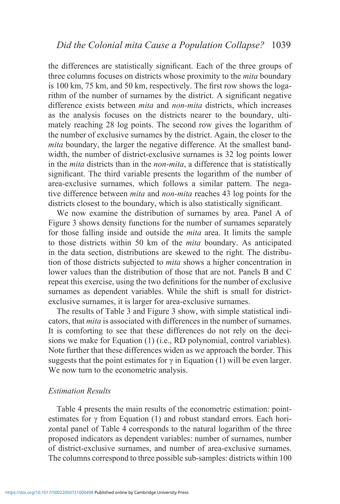the differences are statistically significant. Each of the three groups of three columns focuses on districts whose proximity to the *mita* boundary is 100 km, 75 km, and 50 km, respectively. The first row shows the logarithm of the number of surnames by the district. A significant negative difference exists between *mita* and *non-mita* districts, which increases as the analysis focuses on the districts nearer to the boundary, ultimately reaching 28 log points. The second row gives the logarithm of the number of exclusive surnames by the district. Again, the closer to the *mita* boundary, the larger the negative difference. At the smallest bandwidth, the number of district-exclusive surnames is 32 log points lower in the *mita* districts than in the *non-mita*, a difference that is statistically significant. The third variable presents the logarithm of the number of area-exclusive surnames, which follows a similar pattern. The negative difference between *mita* and *non-mita* reaches 43 log points for the districts closest to the boundary, which is also statistically significant.

We now examine the distribution of surnames by area. Panel A of Figure 3 shows density functions for the number of surnames separately for those falling inside and outside the *mita* area. It limits the sample to those districts within 50 km of the *mita* boundary. As anticipated in the data section, distributions are skewed to the right. The distribution of those districts subjected to *mita* shows a higher concentration in lower values than the distribution of those that are not. Panels B and C repeat this exercise, using the two definitions for the number of exclusive surnames as dependent variables. While the shift is small for districtexclusive surnames, it is larger for area-exclusive surnames.

The results of Table 3 and Figure 3 show, with simple statistical indicators, that *mita* is associated with differences in the number of surnames. It is comforting to see that these differences do not rely on the decisions we make for Equation (1) (i.e., RD polynomial, control variables). Note further that these differences widen as we approach the border. This suggests that the point estimates for  $\gamma$  in Equation (1) will be even larger. We now turn to the econometric analysis.

#### *Estimation Results*

Table 4 presents the main results of the econometric estimation: pointestimates for  $\gamma$  from Equation (1) and robust standard errors. Each horizontal panel of Table 4 corresponds to the natural logarithm of the three proposed indicators as dependent variables: number of surnames, number of district-exclusive surnames, and number of area-exclusive surnames. The columns correspond to three possible sub-samples: districts within 100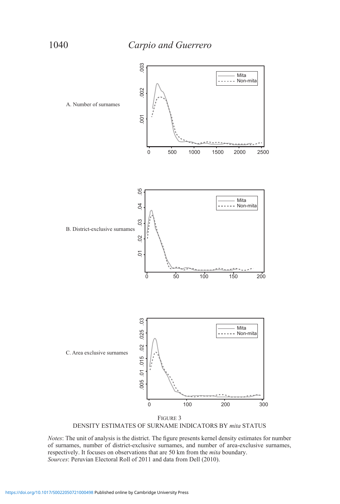

DENSITY ESTIMATES OF SURNAME INDICATORS BY *mita* STATUS

*Notes*: The unit of analysis is the district. The figure presents kernel density estimates for number of surnames, number of district-exclusive surnames, and number of area-exclusive surnames, respectively. It focuses on observations that are 50 km from the *mita* boundary. *Sources*: Peruvian Electoral Roll of 2011 and data from Dell (2010).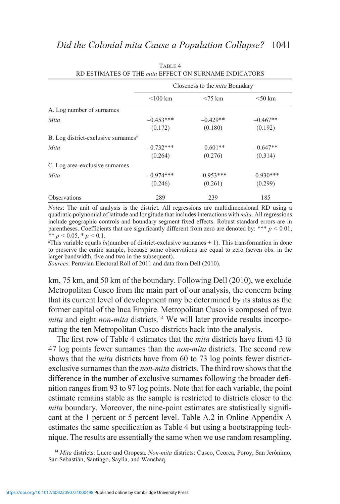|                                                 | Closeness to the <i>mita</i> Boundary |                        |                        |  |  |
|-------------------------------------------------|---------------------------------------|------------------------|------------------------|--|--|
|                                                 | $\leq 100$ km                         | $< 75 \text{ km}$      | $<$ 50 km              |  |  |
| A. Log number of surnames                       |                                       |                        |                        |  |  |
| Mita                                            | $-0.453***$<br>(0.172)                | $-0.429**$<br>(0.180)  | $-0.467**$<br>(0.192)  |  |  |
| B. Log district-exclusive surnames <sup>a</sup> |                                       |                        |                        |  |  |
| Mita                                            | $-0.732***$<br>(0.264)                | $-0.601**$<br>(0.276)  | $-0.647**$<br>(0.314)  |  |  |
| C. Log area-exclusive surnames                  |                                       |                        |                        |  |  |
| Mita                                            | $-0.974***$<br>(0.246)                | $-0.953***$<br>(0.261) | $-0.930***$<br>(0.299) |  |  |
| <b>Observations</b>                             | 289                                   | 239                    | 185                    |  |  |

TABLE 4 RD ESTIMATES OF THE *mita* EFFECT ON SURNAME INDICATORS

*Notes*: The unit of analysis is the district. All regressions are multidimensional RD using a quadratic polynomial of latitude and longitude that includes interactions with *mita*. All regressions include geographic controls and boundary segment fixed effects. Robust standard errors are in parentheses. Coefficients that are significantly different from zero are denoted by: \*\*\*  $p < 0.01$ , \*\*  $p < 0.05$ , \*  $p < 0.1$ .

*a* This variable equals *ln*(number of district-exclusive surnames + 1). This transformation in done to preserve the entire sample, because some observations are equal to zero (seven obs. in the larger bandwidth, five and two in the subsequent).

*Sources*: Peruvian Electoral Roll of 2011 and data from Dell (2010).

km, 75 km, and 50 km of the boundary. Following Dell (2010), we exclude Metropolitan Cusco from the main part of our analysis, the concern being that its current level of development may be determined by its status as the former capital of the Inca Empire. Metropolitan Cusco is composed of two *mita* and eight *non-mita* districts.<sup>14</sup> We will later provide results incorporating the ten Metropolitan Cusco districts back into the analysis.

The first row of Table 4 estimates that the *mita* districts have from 43 to 47 log points fewer surnames than the *non-mita* districts. The second row shows that the *mita* districts have from 60 to 73 log points fewer districtexclusive surnames than the *non-mita* districts. The third row shows that the difference in the number of exclusive surnames following the broader definition ranges from 93 to 97 log points. Note that for each variable, the point estimate remains stable as the sample is restricted to districts closer to the *mita* boundary. Moreover, the nine-point estimates are statistically significant at the 1 percent or 5 percent level. Table A.2 in Online Appendix A estimates the same specification as Table 4 but using a bootstrapping technique. The results are essentially the same when we use random resampling.

<sup>&</sup>lt;sup>14</sup> *Mita* districts: Lucre and Oropesa. *Non-mita* districts: Cusco, Ccorca, Poroy, San Jerónimo, San Sebastián, Santiago, Saylla, and Wanchaq.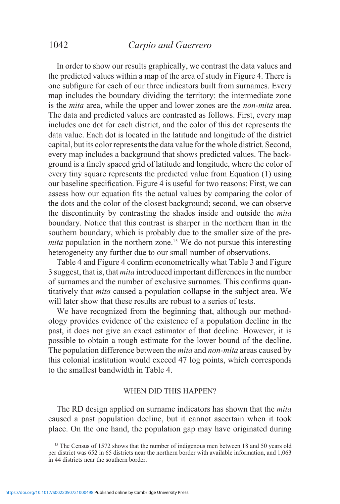# 1042 *Carpio and Guerrero*

In order to show our results graphically, we contrast the data values and the predicted values within a map of the area of study in Figure 4. There is one subfigure for each of our three indicators built from surnames. Every map includes the boundary dividing the territory: the intermediate zone is the *mita* area, while the upper and lower zones are the *non-mita* area. The data and predicted values are contrasted as follows. First, every map includes one dot for each district, and the color of this dot represents the data value. Each dot is located in the latitude and longitude of the district capital, but its color represents the data value for the whole district. Second, every map includes a background that shows predicted values. The background is a finely spaced grid of latitude and longitude, where the color of every tiny square represents the predicted value from Equation (1) using our baseline specification. Figure 4 is useful for two reasons: First, we can assess how our equation fits the actual values by comparing the color of the dots and the color of the closest background; second, we can observe the discontinuity by contrasting the shades inside and outside the *mita*  boundary. Notice that this contrast is sharper in the northern than in the southern boundary, which is probably due to the smaller size of the pre*mita* population in the northern zone.<sup>15</sup> We do not pursue this interesting heterogeneity any further due to our small number of observations.

Table 4 and Figure 4 confirm econometrically what Table 3 and Figure 3 suggest, that is, that *mita* introduced important differences in the number of surnames and the number of exclusive surnames. This confirms quantitatively that *mita* caused a population collapse in the subject area. We will later show that these results are robust to a series of tests.

We have recognized from the beginning that, although our methodology provides evidence of the existence of a population decline in the past, it does not give an exact estimator of that decline. However, it is possible to obtain a rough estimate for the lower bound of the decline. The population difference between the *mita* and *non-mita* areas caused by this colonial institution would exceed 47 log points, which corresponds to the smallest bandwidth in Table 4.

#### WHEN DID THIS HAPPEN?

The RD design applied on surname indicators has shown that the *mita*  caused a past population decline, but it cannot ascertain when it took place. On the one hand, the population gap may have originated during

<sup>&</sup>lt;sup>15</sup> The Census of 1572 shows that the number of indigenous men between 18 and 50 years old per district was 652 in 65 districts near the northern border with available information, and 1,063 in 44 districts near the southern border.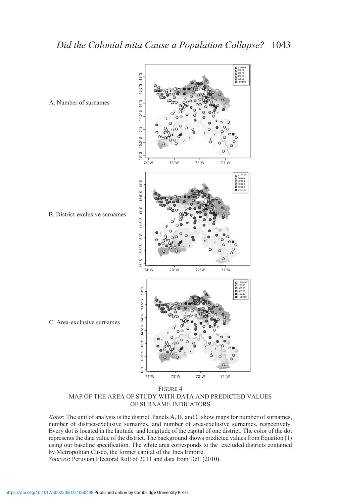

Figure 4 MAP OF THE AREA OF STUDY WITH DATA AND PREDICTED VALUES OF SURNAME INDICATORS

*Notes*: The unit of analysis is the district. Panels A, B, and C show maps for number of surnames, number of district-exclusive surnames, and number of area-exclusive surnames, respectively. Every dot is located in the latitude and longitude of the capital of one district. The color of the dot represents the data value of the district. The background shows predicted values from Equation (1) using our baseline specification. The white area corresponds to the excluded districts contained by Metropolitan Cusco, the former capital of the Inca Empire. *Sources*: Peruvian Electoral Roll of 2011 and data from Dell (2010).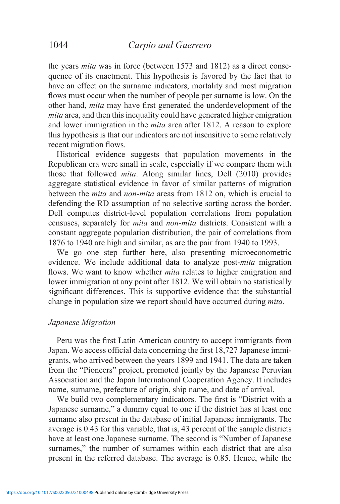the years *mita* was in force (between 1573 and 1812) as a direct consequence of its enactment. This hypothesis is favored by the fact that to have an effect on the surname indicators, mortality and most migration flows must occur when the number of people per surname is low. On the other hand, *mita* may have first generated the underdevelopment of the *mita* area, and then this inequality could have generated higher emigration and lower immigration in the *mita* area after 1812. A reason to explore this hypothesis is that our indicators are not insensitive to some relatively recent migration flows.

Historical evidence suggests that population movements in the Republican era were small in scale, especially if we compare them with those that followed *mita*. Along similar lines, Dell (2010) provides aggregate statistical evidence in favor of similar patterns of migration between the *mita* and *non-mita* areas from 1812 on, which is crucial to defending the RD assumption of no selective sorting across the border. Dell computes district-level population correlations from population censuses, separately for *mita* and *non-mita* districts. Consistent with a constant aggregate population distribution, the pair of correlations from 1876 to 1940 are high and similar, as are the pair from 1940 to 1993.

We go one step further here, also presenting microeconometric evidence. We include additional data to analyze post-*mita* migration flows. We want to know whether *mita* relates to higher emigration and lower immigration at any point after 1812. We will obtain no statistically significant differences. This is supportive evidence that the substantial change in population size we report should have occurred during *mita*.

#### *Japanese Migration*

Peru was the first Latin American country to accept immigrants from Japan. We access official data concerning the first 18,727 Japanese immigrants, who arrived between the years 1899 and 1941. The data are taken from the "Pioneers" project, promoted jointly by the Japanese Peruvian Association and the Japan International Cooperation Agency. It includes name, surname, prefecture of origin, ship name, and date of arrival.

We build two complementary indicators. The first is "District with a Japanese surname," a dummy equal to one if the district has at least one surname also present in the database of initial Japanese immigrants. The average is 0.43 for this variable, that is, 43 percent of the sample districts have at least one Japanese surname. The second is "Number of Japanese surnames," the number of surnames within each district that are also present in the referred database. The average is 0.85. Hence, while the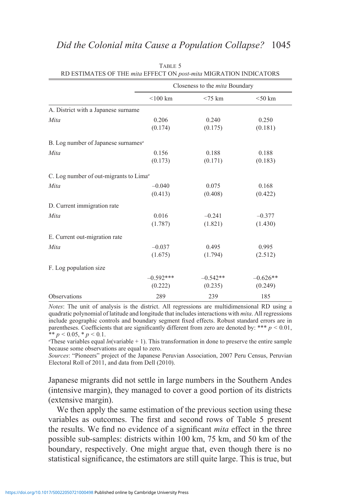|                                                    |             | Closeness to the <i>mita</i> Boundary |            |
|----------------------------------------------------|-------------|---------------------------------------|------------|
|                                                    | $<$ 100 km  | $<$ 75 km                             | $<$ 50 km  |
| A. District with a Japanese surname                |             |                                       |            |
| Mita                                               | 0.206       | 0.240                                 | 0.250      |
|                                                    | (0.174)     | (0.175)                               | (0.181)    |
| B. Log number of Japanese surnames <sup>a</sup>    |             |                                       |            |
| Mita                                               | 0.156       | 0.188                                 | 0.188      |
|                                                    | (0.173)     | (0.171)                               | (0.183)    |
| C. Log number of out-migrants to Lima <sup>a</sup> |             |                                       |            |
| Mita                                               | $-0.040$    | 0.075                                 | 0.168      |
|                                                    | (0.413)     | (0.408)                               | (0.422)    |
| D. Current immigration rate                        |             |                                       |            |
| Mita                                               | 0.016       | $-0.241$                              | $-0.377$   |
|                                                    | (1.787)     | (1.821)                               | (1.430)    |
| E. Current out-migration rate                      |             |                                       |            |
| Mita                                               | $-0.037$    | 0.495                                 | 0.995      |
|                                                    | (1.675)     | (1.794)                               | (2.512)    |
| F. Log population size                             |             |                                       |            |
|                                                    | $-0.592***$ | $-0.542**$                            | $-0.626**$ |
|                                                    | (0.222)     | (0.235)                               | (0.249)    |
| Observations                                       | 289         | 239                                   | 185        |

Table 5 RD ESTIMATES OF THE *mita* EFFECT ON *post-mita* MIGRATION INDICATORS

*Notes*: The unit of analysis is the district. All regressions are multidimensional RD using a quadratic polynomial of latitude and longitude that includes interactions with *mita*. All regressions include geographic controls and boundary segment fixed effects. Robust standard errors are in parentheses. Coefficients that are significantly different from zero are denoted by: \*\*\*  $p < 0.01$ , \*\*  $p < 0.05$ , \*  $p < 0.1$ .

*a* These variables equal  $ln$ (variable  $+ 1$ ). This transformation in done to preserve the entire sample because some observations are equal to zero.

*Sources*: "Pioneers" project of the Japanese Peruvian Association, 2007 Peru Census, Peruvian Electoral Roll of 2011, and data from Dell (2010).

Japanese migrants did not settle in large numbers in the Southern Andes (intensive margin), they managed to cover a good portion of its districts (extensive margin).

We then apply the same estimation of the previous section using these variables as outcomes. The first and second rows of Table 5 present the results. We find no evidence of a significant *mita* effect in the three possible sub-samples: districts within 100 km, 75 km, and 50 km of the boundary, respectively. One might argue that, even though there is no statistical significance, the estimators are still quite large. This is true, but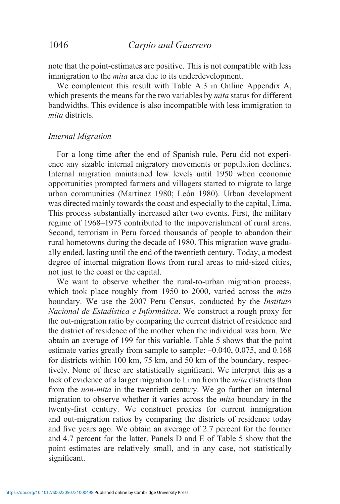note that the point-estimates are positive. This is not compatible with less immigration to the *mita* area due to its underdevelopment.

We complement this result with Table A.3 in Online Appendix A, which presents the means for the two variables by *mita* status for different bandwidths. This evidence is also incompatible with less immigration to *mita* districts.

#### *Internal Migration*

For a long time after the end of Spanish rule, Peru did not experience any sizable internal migratory movements or population declines. Internal migration maintained low levels until 1950 when economic opportunities prompted farmers and villagers started to migrate to large urban communities (Martínez 1980; León 1980). Urban development was directed mainly towards the coast and especially to the capital, Lima. This process substantially increased after two events. First, the military regime of 1968–1975 contributed to the impoverishment of rural areas. Second, terrorism in Peru forced thousands of people to abandon their rural hometowns during the decade of 1980. This migration wave gradually ended, lasting until the end of the twentieth century. Today, a modest degree of internal migration flows from rural areas to mid-sized cities, not just to the coast or the capital.

We want to observe whether the rural-to-urban migration process, which took place roughly from 1950 to 2000, varied across the *mita*  boundary. We use the 2007 Peru Census, conducted by the *Instituto Nacional de Estadística e Informática*. We construct a rough proxy for the out-migration ratio by comparing the current district of residence and the district of residence of the mother when the individual was born. We obtain an average of 199 for this variable. Table 5 shows that the point estimate varies greatly from sample to sample:  $-0.040, 0.075,$  and 0.168 for districts within 100 km, 75 km, and 50 km of the boundary, respectively. None of these are statistically significant. We interpret this as a lack of evidence of a larger migration to Lima from the *mita* districts than from the *non-mita* in the twentieth century. We go further on internal migration to observe whether it varies across the *mita* boundary in the twenty-first century. We construct proxies for current immigration and out-migration ratios by comparing the districts of residence today and five years ago. We obtain an average of 2.7 percent for the former and 4.7 percent for the latter. Panels D and E of Table 5 show that the point estimates are relatively small, and in any case, not statistically significant.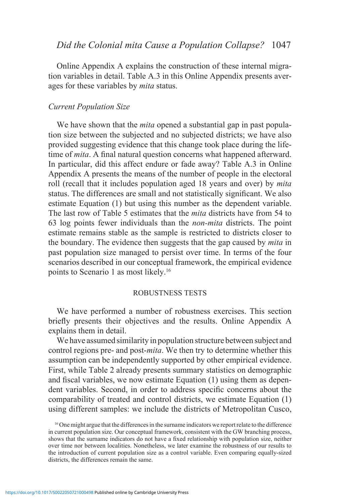Online Appendix A explains the construction of these internal migration variables in detail. Table A.3 in this Online Appendix presents averages for these variables by *mita* status.

#### *Current Population Size*

We have shown that the *mita* opened a substantial gap in past population size between the subjected and no subjected districts; we have also provided suggesting evidence that this change took place during the lifetime of *mita*. A final natural question concerns what happened afterward. In particular, did this affect endure or fade away? Table A.3 in Online Appendix A presents the means of the number of people in the electoral roll (recall that it includes population aged 18 years and over) by *mita*  status. The differences are small and not statistically significant. We also estimate Equation (1) but using this number as the dependent variable. The last row of Table 5 estimates that the *mita* districts have from 54 to 63 log points fewer individuals than the *non-mita* districts. The point estimate remains stable as the sample is restricted to districts closer to the boundary. The evidence then suggests that the gap caused by *mita* in past population size managed to persist over time. In terms of the four scenarios described in our conceptual framework, the empirical evidence points to Scenario 1 as most likely.16

#### ROBUSTNESS TESTS

We have performed a number of robustness exercises. This section briefly presents their objectives and the results. Online Appendix A explains them in detail.

We have assumed similarity in population structure between subject and control regions pre- and post-*mita*. We then try to determine whether this assumption can be independently supported by other empirical evidence. First, while Table 2 already presents summary statistics on demographic and fiscal variables, we now estimate Equation (1) using them as dependent variables. Second, in order to address specific concerns about the comparability of treated and control districts, we estimate Equation (1) using different samples: we include the districts of Metropolitan Cusco,

<sup>&</sup>lt;sup>16</sup> One might argue that the differences in the surname indicators we report relate to the difference in current population size. Our conceptual framework, consistent with the GW branching process, shows that the surname indicators do not have a fixed relationship with population size, neither over time nor between localities. Nonetheless, we later examine the robustness of our results to the introduction of current population size as a control variable. Even comparing equally-sized districts, the differences remain the same.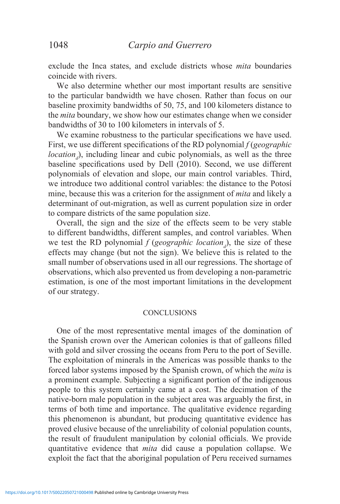exclude the Inca states, and exclude districts whose *mita* boundaries coincide with rivers.

We also determine whether our most important results are sensitive to the particular bandwidth we have chosen. Rather than focus on our baseline proximity bandwidths of 50, 75, and 100 kilometers distance to the *mita* boundary, we show how our estimates change when we consider bandwidths of 30 to 100 kilometers in intervals of 5.

We examine robustness to the particular specifications we have used. First, we use different specifications of the RD polynomial *f* (*geographic location<sub>d</sub>*), including linear and cubic polynomials, as well as the three baseline specifications used by Dell (2010). Second, we use different polynomials of elevation and slope, our main control variables. Third, we introduce two additional control variables: the distance to the Potosí mine, because this was a criterion for the assignment of *mita* and likely a determinant of out-migration, as well as current population size in order to compare districts of the same population size.

Overall, the sign and the size of the effects seem to be very stable to different bandwidths, different samples, and control variables. When we test the RD polynomial  $f$  (*geographic location*<sub> $d$ </sub>), the size of these effects may change (but not the sign). We believe this is related to the small number of observations used in all our regressions. The shortage of observations, which also prevented us from developing a non-parametric estimation, is one of the most important limitations in the development of our strategy.

#### **CONCLUSIONS**

One of the most representative mental images of the domination of the Spanish crown over the American colonies is that of galleons filled with gold and silver crossing the oceans from Peru to the port of Seville. The exploitation of minerals in the Americas was possible thanks to the forced labor systems imposed by the Spanish crown, of which the *mita* is a prominent example. Subjecting a significant portion of the indigenous people to this system certainly came at a cost. The decimation of the native-born male population in the subject area was arguably the first, in terms of both time and importance. The qualitative evidence regarding this phenomenon is abundant, but producing quantitative evidence has proved elusive because of the unreliability of colonial population counts, the result of fraudulent manipulation by colonial officials. We provide quantitative evidence that *mita* did cause a population collapse. We exploit the fact that the aboriginal population of Peru received surnames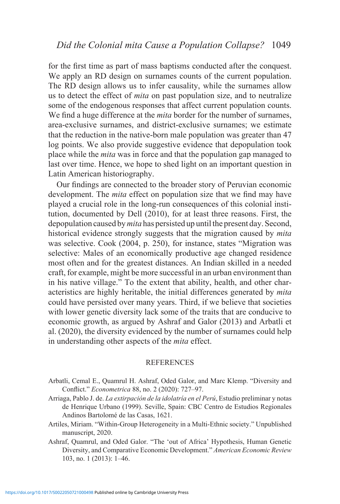for the first time as part of mass baptisms conducted after the conquest. We apply an RD design on surnames counts of the current population. The RD design allows us to infer causality, while the surnames allow us to detect the effect of *mita* on past population size, and to neutralize some of the endogenous responses that affect current population counts. We find a huge difference at the *mita* border for the number of surnames, area-exclusive surnames, and district-exclusive surnames; we estimate that the reduction in the native-born male population was greater than 47 log points. We also provide suggestive evidence that depopulation took place while the *mita* was in force and that the population gap managed to last over time. Hence, we hope to shed light on an important question in Latin American historiography.

Our findings are connected to the broader story of Peruvian economic development. The *mita* effect on population size that we find may have played a crucial role in the long-run consequences of this colonial institution, documented by Dell (2010), for at least three reasons. First, the depopulation caused by *mita* has persisted up until the present day. Second, historical evidence strongly suggests that the migration caused by *mita*  was selective. Cook (2004, p. 250), for instance, states "Migration was selective: Males of an economically productive age changed residence most often and for the greatest distances. An Indian skilled in a needed craft, for example, might be more successful in an urban environment than in his native village." To the extent that ability, health, and other characteristics are highly heritable, the initial differences generated by *mita*  could have persisted over many years. Third, if we believe that societies with lower genetic diversity lack some of the traits that are conducive to economic growth, as argued by Ashraf and Galor (2013) and Arbatli et al. (2020), the diversity evidenced by the number of surnames could help in understanding other aspects of the *mita* effect.

#### REFERENCES

- Arbatli, Cemal E., Quamrul H. Ashraf, Oded Galor, and Marc Klemp. "Diversity and Conflict." *Econometrica* 88, no. 2 (2020): 727–97.
- Arriaga, Pablo J. de. *La extirpación de la idolatría en el Perú*, Estudio preliminar y notas de Henrique Urbano (1999). Seville, Spain: CBC Centro de Estudios Regionales Andinos Bartolomé de las Casas, 1621.
- Artiles, Miriam. "Within-Group Heterogeneity in a Multi-Ethnic society." Unpublished manuscript, 2020.
- Ashraf, Quamrul, and Oded Galor. "The 'out of Africa' Hypothesis, Human Genetic Diversity, and Comparative Economic Development." *American Economic Review*  103, no. 1 (2013): 1–46.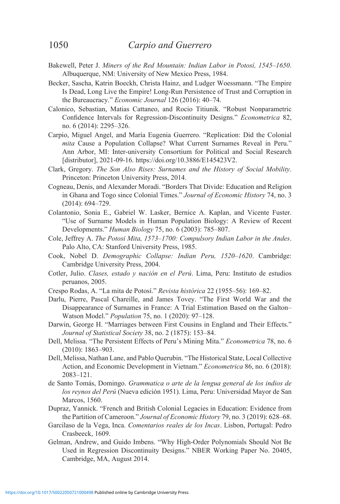- Bakewell, Peter J. *Miners of the Red Mountain: Indian Labor in Potosí, 1545–1650*. Albuquerque, NM: University of New Mexico Press, 1984.
- Becker, Sascha, Katrin Boeckh, Christa Hainz, and Ludger Woessmann. "The Empire Is Dead, Long Live the Empire! Long-Run Persistence of Trust and Corruption in the Bureaucracy." *Economic Journal* 126 (2016): 40–74.
- Calonico, Sebastian, Matias Cattaneo, and Rocio Titiunik. "Robust Nonparametric Confidence Intervals for Regression-Discontinuity Designs." *Econometrica* 82, no. 6 (2014): 2295–326.
- Carpio, Miguel Angel, and María Eugenia Guerrero. "Replication: Did the Colonial *mita* Cause a Population Collapse? What Current Surnames Reveal in Peru." Ann Arbor, MI: Inter-university Consortium for Political and Social Research [distributor], 2021-09-16. https://doi.org/10.3886/E145423V2.
- Clark, Gregory. *The Son Also Rises: Surnames and the History of Social Mobility*. Princeton: Princeton University Press, 2014.
- Cogneau, Denis, and Alexander Moradi. "Borders That Divide: Education and Religion in Ghana and Togo since Colonial Times." *Journal of Economic History* 74, no. 3 (2014): 694–729.
- Colantonio, Sonia E., Gabriel W. Lasker, Bernice A. Kaplan, and Vicente Fuster. "Use of Surname Models in Human Population Biology: A Review of Recent Developments." *Human Biology* 75, no. 6 (2003): 785–807.
- Cole, Jeffrey A. *The Potosi Mita, 1573–1700: Compulsory Indian Labor in the Andes*. Palo Alto, CA: Stanford University Press, 1985.
- Cook, Nobel D. *Demographic Collapse: Indian Peru, 1520–1620*. Cambridge: Cambridge University Press, 2004.
- Cotler, Julio. *Clases, estado y nación en el Perú*. Lima, Peru: Instituto de estudios peruanos, 2005.
- Crespo Rodas, A. "La mita de Potosí." *Revista histórica* 22 (1955–56): 169–82.
- Darlu, Pierre, Pascal Chareille, and James Tovey. "The First World War and the Disappearance of Surnames in France: A Trial Estimation Based on the Galton– Watson Model." *Population* 75, no. 1 (2020): 97–128.
- Darwin, George H. "Marriages between First Cousins in England and Their Effects." *Journal of Statistical Society* 38, no. 2 (1875): 153–84.
- Dell, Melissa. "The Persistent Effects of Peru's Mining Mita." *Econometrica* 78, no. 6 (2010): 1863–903.
- Dell, Melissa, Nathan Lane, and Pablo Querubin. "The Historical State, Local Collective Action, and Economic Development in Vietnam." *Econometrica* 86, no. 6 (2018): 2083–121.
- de Santo Tomás, Domingo. *Grammatica o arte de la lengua general de los indios de los reynos del Perú* (Nueva edición 1951). Lima, Peru: Universidad Mayor de San Marcos, 1560.
- Dupraz, Yannick. "French and British Colonial Legacies in Education: Evidence from the Partition of Cameroon." *Journal of Economic History* 79, no. 3 (2019): 628–68.
- Garcilaso de la Vega, Inca. *Comentarios reales de los Incas*. Lisbon, Portugal: Pedro Crasbeeck, 1609.
- Gelman, Andrew, and Guido Imbens. "Why High-Order Polynomials Should Not Be Used in Regression Discontinuity Designs." NBER Working Paper No. 20405, Cambridge, MA, August 2014.